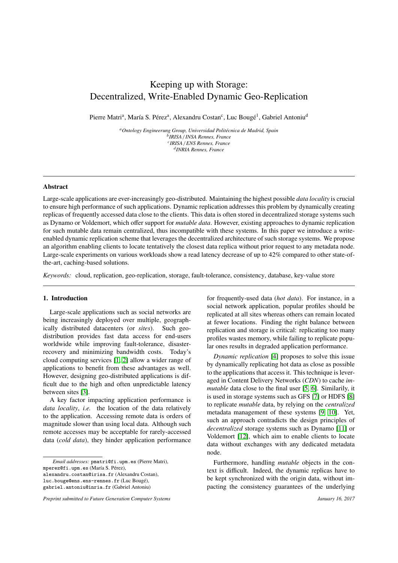# Keeping up with Storage: Decentralized, Write-Enabled Dynamic Geo-Replication

Pierre Matri<sup>a</sup>, María S. Pérez<sup>a</sup>, Alexandru Costan<sup>c</sup>, Luc Bougé<sup>1</sup>, Gabriel Antoniu<sup>d</sup>

*<sup>a</sup>Ontology Engineerung Group, Universidad Polit´ecnica de Madrid, Spain b IRISA* / *INSA Rennes, France c IRISA* / *ENS Rennes, France d INRIA Rennes, France*

# Abstract

Large-scale applications are ever-increasingly geo-distributed. Maintaining the highest possible *data locality* is crucial to ensure high performance of such applications. Dynamic replication addresses this problem by dynamically creating replicas of frequently accessed data close to the clients. This data is often stored in decentralized storage systems such as Dynamo or Voldemort, which offer support for *mutable data*. However, existing approaches to dynamic replication for such mutable data remain centralized, thus incompatible with these systems. In this paper we introduce a writeenabled dynamic replication scheme that leverages the decentralized architecture of such storage systems. We propose an algorithm enabling clients to locate tentatively the closest data replica without prior request to any metadata node. Large-scale experiments on various workloads show a read latency decrease of up to 42% compared to other state-ofthe-art, caching-based solutions.

*Keywords:* cloud, replication, geo-replication, storage, fault-tolerance, consistency, database, key-value store

## 1. Introduction

Large-scale applications such as social networks are being increasingly deployed over multiple, geographically distributed datacenters (or *sites*). Such geodistribution provides fast data access for end-users worldwide while improving fault-tolerance, disasterrecovery and minimizing bandwidth costs. Today's cloud computing services [\[1,](#page-16-0) [2\]](#page-16-1) allow a wider range of applications to benefit from these advantages as well. However, designing geo-distributed applications is difficult due to the high and often unpredictable latency between sites [\[3\]](#page-16-2).

A key factor impacting application performance is *data locality*, *i.e.* the location of the data relatively to the application. Accessing remote data is orders of magnitude slower than using local data. Although such remote accesses may be acceptable for rarely-accessed data (*cold data*), they hinder application performance

*Email addresses:* pmatri@fi.upm.es (Pierre Matri), mperez@fi.upm.es (María S. Pérez).

for frequently-used data (*hot data*). For instance, in a social network application, popular profiles should be replicated at all sites whereas others can remain located at fewer locations. Finding the right balance between replication and storage is critical: replicating too many profiles wastes memory, while failing to replicate popular ones results in degraded application performance.

*Dynamic replication* [\[4\]](#page-16-3) proposes to solve this issue by dynamically replicating hot data as close as possible to the applications that access it. This technique is leveraged in Content Delivery Networks (*CDN*) to cache *immutable* data close to the final user [\[5,](#page-16-4) [6\]](#page-16-5). Similarily, it is used in storage systems such as GFS [\[7\]](#page-16-6) or HDFS [\[8\]](#page-16-7) to replicate *mutable* data, by relying on the *centralized* metadata management of these systems [\[9,](#page-16-8) [10\]](#page-16-9). Yet, such an approach contradicts the design principles of *decentralized* storage systems such as Dynamo [\[11\]](#page-16-10) or Voldemort [\[12\]](#page-16-11), which aim to enable clients to locate data without exchanges with any dedicated metadata node.

Furthermore, handling *mutable* objects in the context is difficult. Indeed, the dynamic replicas have to be kept synchronized with the origin data, without impacting the consistency guarantees of the underlying

alexandru.costan@irisa.fr (Alexandru Costan), luc.bouge@ens.ens-rennes.fr (Luc Bougé), gabriel.antoniu@inria.fr (Gabriel Antoniu)

*Preprint submitted to Future Generation Computer Systems January 16, 2017*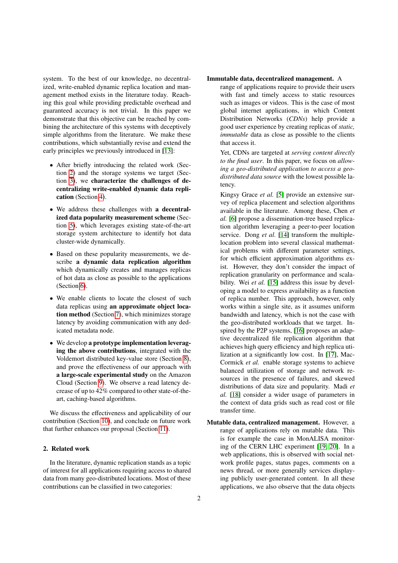system. To the best of our knowledge, no decentralized, write-enabled dynamic replica location and management method exists in the literature today. Reaching this goal while providing predictable overhead and guaranteed accuracy is not trivial. In this paper we demonstrate that this objective can be reached by combining the architecture of this systems with deceptively simple algorithms from the literature. We make these contributions, which substantially revise and extend the early principles we previously introduced in [\[13\]](#page-16-12):

- After briefly introducing the related work (Section [2\)](#page-1-0) and the storage systems we target (Section [3\)](#page-2-0), we characterize the challenges of decentralizing write-enabled dynamic data replication (Section [4\)](#page-3-0).
- We address these challenges with a decentralized data popularity measurement scheme (Section [5\)](#page-4-0), which leverages existing state-of-the-art storage system architecture to identify hot data cluster-wide dynamically.
- Based on these popularity measurements, we describe a dynamic data replication algorithm which dynamically creates and manages replicas of hot data as close as possible to the applications (Section [6\)](#page-6-0).
- We enable clients to locate the closest of such data replicas using an approximate object location method (Section [7\)](#page-8-0), which minimizes storage latency by avoiding communication with any dedicated metadata node.
- We develop a prototype implementation leveraging the above contributions, integrated with the Voldemort distributed key-value store (Section [8\)](#page-8-1), and prove the effectiveness of our approach with a large-scale experimental study on the Amazon Cloud (Section [9\)](#page-9-0). We observe a read latency decrease of up to 42% compared to other state-of-theart, caching-based algorithms.

We discuss the effectiveness and applicability of our contribution (Section [10\)](#page-13-0), and conclude on future work that further enhances our proposal (Section [11\)](#page-14-0).

# <span id="page-1-0"></span>2. Related work

In the literature, dynamic replication stands as a topic of interest for all applications requiring access to shared data from many geo-distributed locations. Most of these contributions can be classified in two categories:

## Immutable data, decentralized management. A

range of applications require to provide their users with fast and timely access to static resources such as images or videos. This is the case of most global internet applications, in which Content Distribution Networks (*CDNs*) help provide a good user experience by creating replicas of *static, immutable* data as close as possible to the clients that access it.

Yet, CDNs are targeted at *serving content directly to the final user*. In this paper, we focus on *allowing a geo-distributed application to access a geodistributed data source* with the lowest possible latency.

Kingsy Grace *et al.* [\[5\]](#page-16-4) provide an extensive survey of replica placement and selection algorithms available in the literature. Among these, Chen *et al.* [\[6\]](#page-16-5) propose a dissemination-tree based replication algorithm leveraging a peer-to-peer location service. Dong *et al.* [\[14\]](#page-16-13) transform the multiplelocation problem into several classical mathematical problems with different parameter settings, for which efficient approximation algorithms exist. However, they don't consider the impact of replication granularity on performance and scalability. Wei *et al.* [\[15\]](#page-16-14) address this issue by developing a model to express availability as a function of replica number. This approach, however, only works within a single site, as it assumes uniform bandwidth and latency, which is not the case with the geo-distributed workloads that we target. Inspired by the P2P systems, [\[16\]](#page-16-15) proposes an adaptive decentralized file replication algorithm that achieves high query efficiency and high replica utilization at a significantly low cost. In [\[17\]](#page-16-16), Mac-Cormick *et al.* enable storage systems to achieve balanced utilization of storage and network resources in the presence of failures, and skewed distributions of data size and popularity. Madi *et al.* [\[18\]](#page-16-17) consider a wider usage of parameters in the context of data grids such as read cost or file transfer time.

Mutable data, centralized management. However, a range of applications rely on mutable data. This is for example the case in MonALISA monitoring of the CERN LHC experiment [\[19,](#page-16-18) [20\]](#page-16-19). In a web applications, this is observed with social network profile pages, status pages, comments on a news thread, or more generally services displaying publicly user-generated content. In all these applications, we also observe that the data objects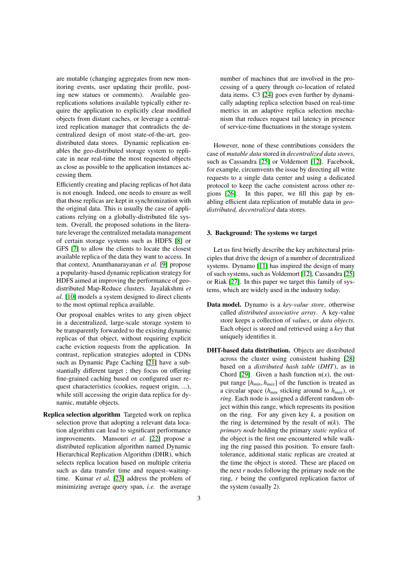are mutable (changing aggregates from new monitoring events, user updating their profile, posting new statues or comments). Available georeplications solutions available typically either require the application to explicitly clear modified objects from distant caches, or leverage a centralized replication manager that contradicts the decentralized design of most state-of-the-art, geodistributed data stores. Dynamic replication enables the geo-distributed storage system to replicate in near real-time the most requested objects as close as possible to the application instances accessing them.

Efficiently creating and placing replicas of hot data is not enough. Indeed, one needs to ensure as well that those replicas are kept in synchronization with the original data. This is usually the case of applications relying on a globally-distributed file system. Overall, the proposed solutions in the literature leverage the centralized metadata management of certain storage systems such as HDFS [\[8\]](#page-16-7) or GFS [\[7\]](#page-16-6) to allow the clients to locate the closest available replica of the data they want to access. In that context, Ananthanarayanan *et al.* [\[9\]](#page-16-8) propose a popularity-based dynamic replication strategy for HDFS aimed at improving the performance of geodistributed Map-Reduce clusters. Jayalakshmi *et al.* [\[10\]](#page-16-9) models a system designed to direct clients to the most optimal replica available.

Our proposal enables writes to any given object in a decentralized, large-scale storage system to be transparently forwarded to the existing dynamic replicas of that object, without requiring explicit cache eviction requests from the application. In contrast, replication strategies adopted in CDNs such as Dynamic Page Caching [\[21\]](#page-16-20) have a substantially different target ; they focus on offering fine-grained caching based on configured user request characteristics (cookies, request origin, ...), while still accessing the origin data replica for dynamic, mutable objects.

Replica selection algorithm Targeted work on replica selection prove that adopting a relevant data location algorithm can lead to significant performance improvements. Mansouri *et al.* [\[22\]](#page-16-21) propose a distributed replication algorithm named Dynamic Hierarchical Replication Algorithm (DHR), which selects replica location based on multiple criteria such as data transfer time and request–waitingtime. Kumar *et al.* [\[23\]](#page-17-0) address the problem of minimizing average query span, *i.e.* the average

number of machines that are involved in the processing of a query through co-location of related data items. C3 [\[24\]](#page-17-1) goes even further by dynamically adapting replica selection based on real-time metrics in an adaptive replica selection mechanism that reduces request tail latency in presence of service-time fluctuations in the storage system.

However, none of these contributions considers the case of *mutable data* stored in *decentralized data stores*, such as Cassandra [\[25\]](#page-17-2) or Voldemort [\[12\]](#page-16-11). Facebook, for example, circumvents the issue by directing all write requests to a single data center and using a dedicated protocol to keep the cache consistent across other regions [\[26\]](#page-17-3). In this paper, we fill this gap by enabling efficient data replication of mutable data in *geodistributed, decentralized* data stores.

#### <span id="page-2-0"></span>3. Background: The systems we target

Let us first briefly describe the key architectural principles that drive the design of a number of decentralized systems. Dynamo [\[11\]](#page-16-10) has inspired the design of many of such systems, such as Voldemort [\[12\]](#page-16-11), Cassandra [\[25\]](#page-17-2) or Riak [\[27\]](#page-17-4). In this paper we target this family of systems, which are widely used in the industry today.

- Data model. Dynamo is a *key-value store*, otherwise called *distributed associative array*. A key-value store keeps a collection of *values*, or *data objects*. Each object is stored and retrieved using a *key* that uniquely identifies it.
- DHT-based data distribution. Objects are distributed across the cluster using consistent hashing [\[28\]](#page-17-5) based on a *distributed hash table* (*DHT*), as in Chord [\[29\]](#page-17-6). Given a hash function  $H(x)$ , the output range  $[h_{min}, h_{max}]$  of the function is treated as a circular space (*hmin* sticking around to *hmax*), or *ring*. Each node is assigned a different random object within this range, which represents its position on the ring. For any given key *k*, a position on the ring is determined by the result of  $H(k)$ . The *primary node* holding the primary *static replica* of the object is the first one encountered while walking the ring passed this position. To ensure faulttolerance, additional static replicas are created at the time the object is stored. These are placed on the next *r* nodes following the primary node on the ring, *r* being the configured replication factor of the system (usually 2).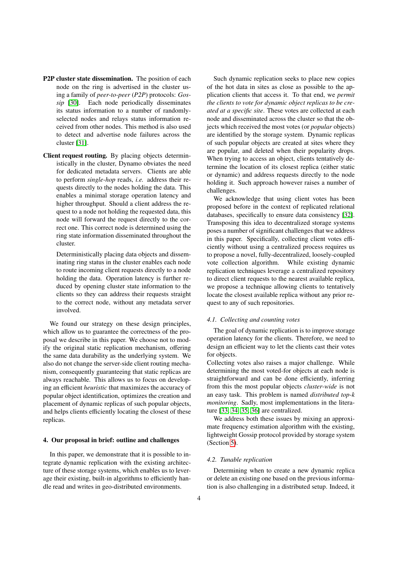- P<sub>2</sub>P cluster state dissemination. The position of each node on the ring is advertised in the cluster using a family of *peer-to-peer* (*P2P*) protocols: *Gossip* [\[30\]](#page-17-7). Each node periodically disseminates its status information to a number of randomlyselected nodes and relays status information received from other nodes. This method is also used to detect and advertise node failures across the cluster [\[31\]](#page-17-8).
- Client request routing. By placing objects deterministically in the cluster, Dynamo obviates the need for dedicated metadata servers. Clients are able to perform *single-hop* reads, *i.e.* address their requests directly to the nodes holding the data. This enables a minimal storage operation latency and higher throughput. Should a client address the request to a node not holding the requested data, this node will forward the request directly to the correct one. This correct node is determined using the ring state information disseminated throughout the cluster.

Deterministically placing data objects and disseminating ring status in the cluster enables each node to route incoming client requests directly to a node holding the data. Operation latency is further reduced by opening cluster state information to the clients so they can address their requests straight to the correct node, without any metadata server involved.

We found our strategy on these design principles, which allow us to guarantee the correctness of the proposal we describe in this paper. We choose not to modify the original static replication mechanism, offering the same data durability as the underlying system. We also do not change the server-side client routing mechanism, consequently guaranteeing that static replicas are always reachable. This allows us to focus on developing an efficient *heuristic* that maximizes the accuracy of popular object identification, optimizes the creation and placement of dynamic replicas of such popular objects, and helps clients efficiently locating the closest of these replicas.

## <span id="page-3-0"></span>4. Our proposal in brief: outline and challenges

In this paper, we demonstrate that it is possible to integrate dynamic replication with the existing architecture of these storage systems, which enables us to leverage their existing, built-in algorithms to efficiently handle read and writes in geo-distributed environments.

Such dynamic replication seeks to place new copies of the hot data in sites as close as possible to the application clients that access it. To that end, we *permit the clients to vote for dynamic object replicas to be created at a specific site*. These votes are collected at each node and disseminated across the cluster so that the objects which received the most votes (or *popular* objects) are identified by the storage system. Dynamic replicas of such popular objects are created at sites where they are popular, and deleted when their popularity drops. When trying to access an object, clients tentatively determine the location of its closest replica (either static or dynamic) and address requests directly to the node holding it. Such approach however raises a number of challenges.

We acknowledge that using client votes has been proposed before in the context of replicated relational databases, specifically to ensure data consistency [\[32\]](#page-17-9). Transposing this idea to decentralized storage systems poses a number of significant challenges that we address in this paper. Specifically, collecting client votes efficiently without using a centralized process requires us to propose a novel, fully-decentralized, loosely-coupled vote collection algorithm. While existing dynamic replication techniques leverage a centralized repository to direct client requests to the nearest available replica, we propose a technique allowing clients to tentatively locate the closest available replica without any prior request to any of such repositories.

#### *4.1. Collecting and counting votes*

The goal of dynamic replication is to improve storage operation latency for the clients. Therefore, we need to design an efficient way to let the clients cast their votes for objects.

Collecting votes also raises a major challenge. While determining the most voted-for objects at each node is straightforward and can be done efficiently, inferring from this the most popular objects *cluster-wide* is not an easy task. This problem is named *distributed top-k monitoring*. Sadly, most implementations in the literature [\[33,](#page-17-10) [34,](#page-17-11) [35,](#page-17-12) [36\]](#page-17-13) are centralized.

We address both these issues by mixing an approximate frequency estimation algorithm with the existing, lightweight Gossip protocol provided by storage system (Section [5\)](#page-4-0).

## *4.2. Tunable replication*

Determining when to create a new dynamic replica or delete an existing one based on the previous information is also challenging in a distributed setup. Indeed, it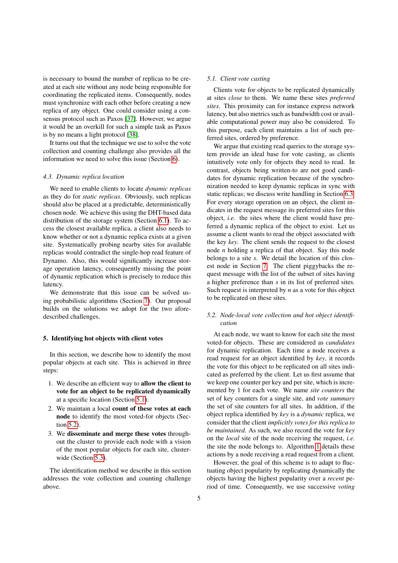is necessary to bound the number of replicas to be created at each site without any node being responsible for coordinating the replicated items. Consequently, nodes must synchronize with each other before creating a new replica of any object. One could consider using a consensus protocol such as Paxos [\[37\]](#page-17-14). However, we argue it would be an overkill for such a simple task as Paxos is by no means a light protocol [\[38\]](#page-17-15).

It turns out that the technique we use to solve the vote collection and counting challenge also provides all the information we need to solve this issue (Section [6\)](#page-6-0).

#### *4.3. Dynamic replica location*

We need to enable clients to locate *dynamic replicas* as they do for *static replicas*. Obviously, such replicas should also be placed at a predictable, deterministically chosen node. We achieve this using the DHT-based data distribution of the storage system (Section [6.1\)](#page-6-1). To access the closest available replica, a client also needs to know whether or not a dynamic replica exists at a given site. Systematically probing nearby sites for available replicas would contradict the single-hop read feature of Dynamo. Also, this would significantly increase storage operation latency, consequently missing the point of dynamic replication which is precisely to reduce this latency.

We demonstrate that this issue can be solved using probabilistic algorithms (Section [7\)](#page-8-0). Our proposal builds on the solutions we adopt for the two aforedescribed challenges.

#### <span id="page-4-0"></span>5. Identifying hot objects with client votes

In this section, we describe how to identify the most popular objects at each site. This is achieved in three steps:

- 1. We describe an efficient way to allow the client to vote for an object to be replicated dynamically at a specific location (Section [5.1\)](#page-4-1).
- 2. We maintain a local count of these votes at each node to identify the most voted-for objects (Section [5.2\)](#page-4-2).
- 3. We disseminate and merge these votes throughout the cluster to provide each node with a vision of the most popular objects for each site, clusterwide (Section [5.3\)](#page-5-0).

The identification method we describe in this section addresses the vote collection and counting challenge above.

## <span id="page-4-1"></span>*5.1. Client vote casting*

Clients vote for objects to be replicated dynamically at sites *close* to them. We name these sites *preferred sites*. This proximity can for instance express network latency, but also metrics such as bandwidth cost or available computational power may also be considered. To this purpose, each client maintains a list of such preferred sites, ordered by preference.

We argue that existing read queries to the storage system provide an ideal base for vote casting, as clients intuitively vote only for objects they need to read. In contrast, objects being written-to are not good candidates for dynamic replication because of the synchronization needed to keep dynamic replicas in sync with static replicas; we discuss write handling in Section [6.3.](#page-7-0) For every storage operation on an object, the client indicates in the request message its preferred sites for this object, *i.e.* the sites where the client would have preferred a dynamic replica of the object to exist. Let us assume a client wants to read the object associated with the key *key*. The client sends the request to the closest node *n* holding a replica of that object. Say this node belongs to a site *s*. We detail the location of this closest node in Section [7.](#page-8-0) The client piggybacks the request message with the list of the subset of sites having a higher preference than *s* in its list of preferred sites. Such request is interpreted by *n* as a vote for this object to be replicated on these sites.

# <span id="page-4-2"></span>*5.2. Node-local vote collection and hot object identification*

At each node, we want to know for each site the most voted-for objects. These are considered as *candidates* for dynamic replication. Each time a node receives a read request for an object identified by *key*, it records the vote for this object to be replicated on all sites indicated as preferred by the client. Let us first assume that we keep one counter per key and per site, which is incremented by 1 for each vote. We name *site counters* the set of key counters for a single site, and *vote summary* the set of site counters for all sites. In addition, if the object replica identified by *key* is a *dynamic* replica, we consider that the client *implicitly votes for this replica to be maintained*. As such, we also record the vote for *key* on the *local* site of the node receiving the request, *i.e.* the site the node belongs to. Algorithm [1](#page-5-1) details these actions by a node receiving a read request from a client.

However, the goal of this scheme is to adapt to fluctuating object popularity by replicating dynamically the objects having the highest popularity over a *recent* period of time. Consequently, we use successive *voting*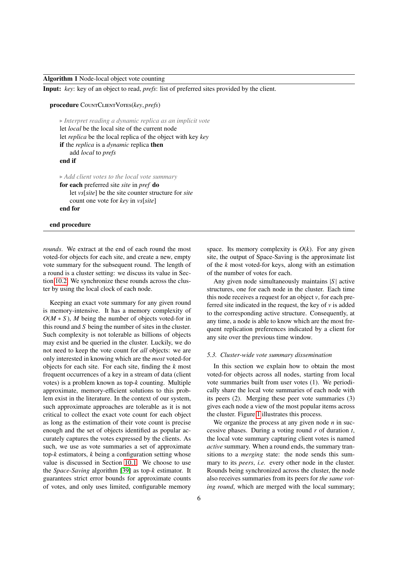<span id="page-5-1"></span>Algorithm 1 Node-local object vote counting

Input: *key*: key of an object to read, *prefs*: list of preferred sites provided by the client.

procedure <sup>C</sup>ountClientVotes(*key*, *prefs*)

. *Interpret reading a dynamic replica as an implicit vote* let *local* be the local site of the current node let *replica* be the local replica of the object with key *key* if the *replica* is a *dynamic* replica then add *local* to *prefs* end if

. *Add client votes to the local vote summary* for each preferred site *site* in *pref* do let *vs*[*site*] be the site counter structure for *site* count one vote for *key* in *vs*[*site*] end for

#### end procedure

*rounds*. We extract at the end of each round the most voted-for objects for each site, and create a new, empty vote summary for the subsequent round. The length of a round is a cluster setting: we discuss its value in Section [10.2.](#page-14-1) We synchronize these rounds across the cluster by using the local clock of each node.

Keeping an exact vote summary for any given round is memory-intensive. It has a memory complexity of *O*(*M* ∗ *S*), *M* being the number of objects voted-for in this round and *S* being the number of sites in the cluster. Such complexity is not tolerable as billions of objects may exist and be queried in the cluster. Luckily, we do not need to keep the vote count for *all* objects: we are only interested in knowing which are the *most* voted-for objects for each site. For each site, finding the *k* most frequent occurrences of a key in a stream of data (client votes) is a problem known as top-*k* counting. Multiple approximate, memory-efficient solutions to this problem exist in the literature. In the context of our system, such approximate approaches are tolerable as it is not critical to collect the exact vote count for each object as long as the estimation of their vote count is precise enough and the set of objects identified as popular accurately captures the votes expressed by the clients. As such, we use as vote summaries a set of approximate top-*k* estimators, *k* being a configuration setting whose value is discussed in Section [10.1.](#page-13-1) We choose to use the *Space-Saving* algorithm [\[39\]](#page-17-16) as top-*k* estimator. It guarantees strict error bounds for approximate counts of votes, and only uses limited, configurable memory

space. Its memory complexity is  $O(k)$ . For any given site, the output of Space-Saving is the approximate list of the *k* most voted-for keys, along with an estimation of the number of votes for each.

Any given node simultaneously maintains |*S* | active structures, one for each node in the cluster. Each time this node receives a request for an object  $\nu$ , for each preferred site indicated in the request, the key of *v* is added to the corresponding active structure. Consequently, at any time, a node is able to know which are the most frequent replication preferences indicated by a client for any site over the previous time window.

#### <span id="page-5-0"></span>*5.3. Cluster-wide vote summary dissemination*

In this section we explain how to obtain the most voted-for objects across all nodes, starting from local vote summaries built from user votes (1). We periodically share the local vote summaries of each node with its peers (2). Merging these peer vote summaries (3) gives each node a view of the most popular items across the cluster. Figure [1](#page-7-1) illustrates this process.

We organize the process at any given node *n* in successive phases. During a voting round *r* of duration *t*, the local vote summary capturing client votes is named *active* summary. When a round ends, the summary transitions to a *merging* state: the node sends this summary to its *peers*, *i.e.* every other node in the cluster. Rounds being synchronized across the cluster, the node also receives summaries from its peers for *the same voting round*, which are merged with the local summary;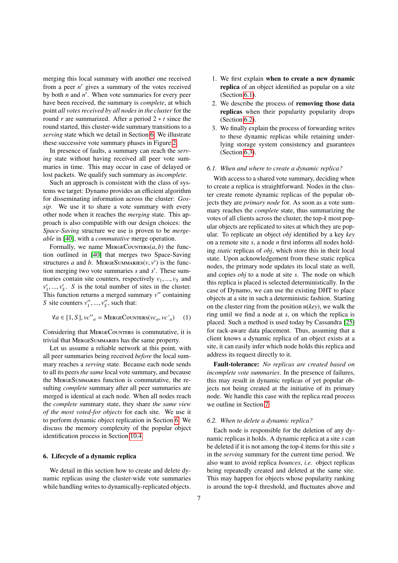merging this local summary with another one received from a peer *n'* gives a summary of the votes received by both  $n$  and  $n'$ . When vote summaries for every peer have been received, the summary is *complete*, at which point *all votes received by all nodes in the cluster* for the round *r* are summarized. After a period 2 ∗ *t* since the round started, this cluster-wide summary transitions to a *serving* state which we detail in Section [6.](#page-6-0) We illustrate these successive vote summary phases in Figure [2.](#page-7-2)

In presence of faults, a summary can reach the *serving* state without having received all peer vote summaries in time. This may occur in case of delayed or lost packets. We qualify such summary as *incomplete*.

Such an approach is consistent with the class of systems we target: Dynamo provides an efficient algorithm for disseminating information across the cluster: *Gossip*. We use it to share a vote summary with every other node when it reaches the *merging* state. This approach is also compatible with our design choices: the *Space-Saving* structure we use is proven to be *mergeable* in [\[40\]](#page-17-17), with a *commutative* merge operation.

Formally, we name MERGECOUNTERS $(a, b)$  the function outlined in [\[40\]](#page-17-17) that merges two Space-Saving structures *a* and *b*. MERGESUMMARIES $(v, v')$  is the func-<br>tion merging two vote summaries *s* and *s'* These sumtion merging two vote summaries *s* and *s'*. These summaries contain site counters, respectively  $v_1, ..., v_S$  and  $v'_1, \ldots, v'_S$ . *S* is the total number of sites in the cluster.<br>This function returns a merged summary y'' containing This function returns a merged summary  $v''$  containing *S* site counters  $v''_1, ..., v''_S$ , such that:

$$
\forall a \in [1, S], vc''_a = \text{Merge} \text{Cour} \text{res}(vc_a, vc'_a) \quad (1)
$$

Considering that MERGECOUNTERS is commutative, it is trivial that MergeSummaries has the same property.

Let us assume a reliable network at this point, with all peer summaries being received *before* the local summary reaches a *serving* state. Because each node sends to all its peers*the same* local vote summary, and because the MergeSummaries function is commutative, the resulting *complete* summary after all peer summaries are merged is identical at each node. When all nodes reach the *complete* summary state, they share *the same view of the most voted-for objects* for each site. We use it to perform dynamic object replication in Section [6.](#page-6-0) We discuss the memory complexity of the popular object identification process in Section [10.4.](#page-14-2)

# <span id="page-6-0"></span>6. Lifecycle of a dynamic replica

We detail in this section how to create and delete dynamic replicas using the cluster-wide vote summaries while handling writes to dynamically-replicated objects.

- 1. We first explain when to create a new dynamic replica of an object identified as popular on a site (Section [6.1\)](#page-6-1).
- 2. We describe the process of removing those data replicas when their popularity popularity drops (Section [6.2\)](#page-6-2).
- 3. We finally explain the process of forwarding writes to these dynamic replicas while retaining underlying storage system consistency and guarantees (Section [6.3\)](#page-7-0).

#### <span id="page-6-1"></span>*6.1. When and where to create a dynamic replica?*

With access to a shared vote summary, deciding when to create a replica is straightforward. Nodes in the cluster create remote dynamic replicas of the popular objects they are *primary node* for. As soon as a vote summary reaches the *complete* state, thus summarizing the votes of all clients across the cluster, the top-*k* most popular objects are replicated to sites at which they are popular. To replicate an object *obj* identified by a key *key* on a remote site *s*, a node *n* first informs all nodes holding *static* replicas of *obj*, which store this in their local state. Upon acknowledgement from these static replica nodes, the primary node updates its local state as well, and copies *obj* to a node at site *s*. The node on which this replica is placed is selected deterministically. In the case of Dynamo, we can use the existing DHT to place objects at a site in such a deterministic fashion. Starting on the cluster ring from the position h(*key*), we walk the ring until we find a node at *s*, on which the replica is placed. Such a method is used today by Cassandra [\[25\]](#page-17-2) for rack-aware data placement. Thus, assuming that a client knows a dynamic replica of an object exists at a site, it can easily infer which node holds this replica and address its request directly to it.

Fault-tolerance: *No replicas are created based on incomplete vote summaries*. In the presence of failures, this may result in dynamic replicas of yet popular objects not being created at the initiative of its primary node. We handle this case with the replica read process we outline in Section [7.](#page-8-0)

#### <span id="page-6-2"></span>*6.2. When to delete a dynamic replica?*

Each node is responsible for the deletion of any dynamic replicas it holds. A dynamic replica at a site *s* can be deleted if it is not among the top-*k* items for this site *s* in the *serving* summary for the current time period. We also want to avoid replica *bounces*, *i.e.* object replicas being repeatedly created and deleted at the same site. This may happen for objects whose popularity ranking is around the top-*k* threshold, and fluctuates above and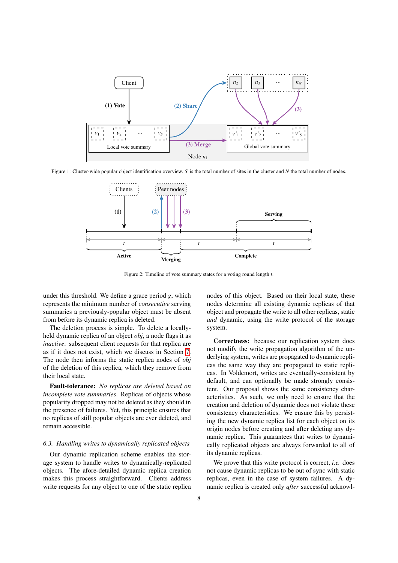<span id="page-7-1"></span>

<span id="page-7-2"></span>Figure 1: Cluster-wide popular object identification overview. *S* is the total number of sites in the cluster and *N* the total number of nodes.



Figure 2: Timeline of vote summary states for a voting round length *t*.

under this threshold. We define a grace period *g*, which represents the minimum number of *consecutive* serving summaries a previously-popular object must be absent from before its dynamic replica is deleted.

The deletion process is simple. To delete a locallyheld dynamic replica of an object *obj*, a node flags it as *inactive*: subsequent client requests for that replica are as if it does not exist, which we discuss in Section [7.](#page-8-0) The node then informs the static replica nodes of *obj* of the deletion of this replica, which they remove from their local state.

Fault-tolerance: *No replicas are deleted based on incomplete vote summaries*. Replicas of objects whose popularity dropped may not be deleted as they should in the presence of failures. Yet, this principle ensures that no replicas of still popular objects are ever deleted, and remain accessible.

#### <span id="page-7-0"></span>*6.3. Handling writes to dynamically replicated objects*

Our dynamic replication scheme enables the storage system to handle writes to dynamically-replicated objects. The afore-detailed dynamic replica creation makes this process straightforward. Clients address write requests for any object to one of the static replica nodes of this object. Based on their local state, these nodes determine all existing dynamic replicas of that object and propagate the write to all other replicas, static *and* dynamic, using the write protocol of the storage system.

Correctness: because our replication system does not modify the write propagation algorithm of the underlying system, writes are propagated to dynamic replicas the same way they are propagated to static replicas. In Voldemort, writes are eventually-consistent by default, and can optionally be made strongly consistent. Our proposal shows the same consistency characteristics. As such, we only need to ensure that the creation and deletion of dynamic does not violate these consistency characteristics. We ensure this by persisting the new dynamic replica list for each object on its origin nodes before creating and after deleting any dynamic replica. This guarantees that writes to dynamically replicated objects are always forwarded to all of its dynamic replicas.

We prove that this write protocol is correct, *i.e.* does not cause dynamic replicas to be out of sync with static replicas, even in the case of system failures. A dynamic replica is created only *after* successful acknowl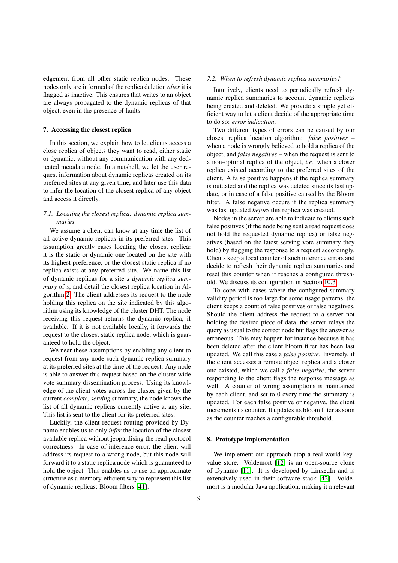edgement from all other static replica nodes. These nodes only are informed of the replica deletion *after* it is flagged as inactive. This ensures that writes to an object are always propagated to the dynamic replicas of that object, even in the presence of faults.

## <span id="page-8-0"></span>7. Accessing the closest replica

In this section, we explain how to let clients access a close replica of objects they want to read, either static or dynamic, without any communication with any dedicated metadata node. In a nutshell, we let the user request information about dynamic replicas created on its preferred sites at any given time, and later use this data to infer the location of the closest replica of any object and access it directly.

# <span id="page-8-2"></span>*7.1. Locating the closest replica: dynamic replica summaries*

We assume a client can know at any time the list of all active dynamic replicas in its preferred sites. This assumption greatly eases locating the closest replica: it is the static or dynamic one located on the site with its highest preference, or the closest static replica if no replica exists at any preferred site. We name this list of dynamic replicas for a site *s dynamic replica summary* of *s*, and detail the closest replica location in Algorithm [2.](#page-9-1) The client addresses its request to the node holding this replica on the site indicated by this algorithm using its knowledge of the cluster DHT. The node receiving this request returns the dynamic replica, if available. If it is not available locally, it forwards the request to the closest static replica node, which is guaranteed to hold the object.

We near these assumptions by enabling any client to request from *any* node such dynamic replica summary at its preferred sites at the time of the request. Any node is able to answer this request based on the cluster-wide vote summary dissemination process. Using its knowledge of the client votes across the cluster given by the current *complete, serving* summary, the node knows the list of all dynamic replicas currently active at any site. This list is sent to the client for its preferred sites.

Luckily, the client request routing provided by Dynamo enables us to only *infer* the location of the closest available replica without jeopardising the read protocol correctness. In case of inference error, the client will address its request to a wrong node, but this node will forward it to a static replica node which is guaranteed to hold the object. This enables us to use an approximate structure as a memory-efficient way to represent this list of dynamic replicas: Bloom filters [\[41\]](#page-17-18).

### <span id="page-8-3"></span>*7.2. When to refresh dynamic replica summaries?*

Intuitively, clients need to periodically refresh dynamic replica summaries to account dynamic replicas being created and deleted. We provide a simple yet efficient way to let a client decide of the appropriate time to do so: *error indication*.

Two different types of errors can be caused by our closest replica location algorithm: *false positives* – when a node is wrongly believed to hold a replica of the object, and *false negatives* – when the request is sent to a non-optimal replica of the object, *i.e.* when a closer replica existed according to the preferred sites of the client. A false positive happens if the replica summary is outdated and the replica was deleted since its last update, or in case of a false positive caused by the Bloom filter. A false negative occurs if the replica summary was last updated *before* this replica was created.

Nodes in the server are able to indicate to clients such false positives (if the node being sent a read request does not hold the requested dynamic replica) or false negatives (based on the latest serving vote summary they hold) by flagging the response to a request accordingly. Clients keep a local counter of such inference errors and decide to refresh their dynamic replica summaries and reset this counter when it reaches a configured threshold. We discuss its configuration in Section [10.3.](#page-14-3)

To cope with cases where the configured summary validity period is too large for some usage patterns, the client keeps a count of false positives or false negatives. Should the client address the request to a server not holding the desired piece of data, the server relays the query as usual to the correct node but flags the answer as erroneous. This may happen for instance because it has been deleted after the client bloom filter has been last updated. We call this case a *false positive*. Inversely, if the client accesses a remote object replica and a closer one existed, which we call a *false negative*, the server responding to the client flags the response message as well. A counter of wrong assumptions is maintained by each client, and set to 0 every time the summary is updated. For each false positive or negative, the client increments its counter. It updates its bloom filter as soon as the counter reaches a configurable threshold.

## <span id="page-8-1"></span>8. Prototype implementation

We implement our approach atop a real-world keyvalue store. Voldemort [\[12\]](#page-16-11) is an open-source clone of Dynamo [\[11\]](#page-16-10). It is developed by LinkedIn and is extensively used in their software stack [\[42\]](#page-17-19). Voldemort is a modular Java application, making it a relevant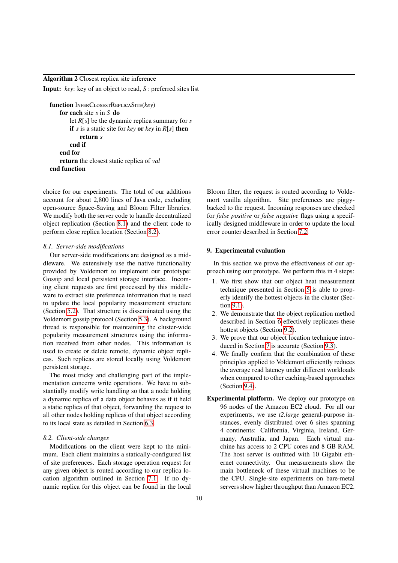# <span id="page-9-1"></span>Algorithm 2 Closest replica site inference

Input: *key*: key of an object to read, *S* : preferred sites list function InferClosestReplicaSite(*key*) for each site *s* in *S* do let *R*[*s*] be the dynamic replica summary for *s* if *s* is a static site for *key* or *key* in *R*[*s*] then return *s* end if end for return the closest static replica of *val* end function

choice for our experiments. The total of our additions account for about 2,800 lines of Java code, excluding open-source Space-Saving and Bloom Filter libraries. We modify both the server code to handle decentralized object replication (Section [8.1\)](#page-9-2) and the client code to perform close replica location (Section [8.2\)](#page-9-3).

## <span id="page-9-2"></span>*8.1. Server-side modifications*

Our server-side modifications are designed as a middleware. We extensively use the native functionality provided by Voldemort to implement our prototype: Gossip and local persistent storage interface. Incoming client requests are first processed by this middleware to extract site preference information that is used to update the local popularity measurement structure (Section [5.2\)](#page-4-2). That structure is disseminated using the Voldemort gossip protocol (Section [5.3\)](#page-5-0). A background thread is responsible for maintaining the cluster-wide popularity measurement structures using the information received from other nodes. This information is used to create or delete remote, dynamic object replicas. Such replicas are stored locally using Voldemort persistent storage.

The most tricky and challenging part of the implementation concerns write operations. We have to substantially modify write handling so that a node holding a dynamic replica of a data object behaves as if it held a static replica of that object, forwarding the request to all other nodes holding replicas of that object according to its local state as detailed in Section [6.3.](#page-7-0)

#### <span id="page-9-3"></span>*8.2. Client-side changes*

Modifications on the client were kept to the minimum. Each client maintains a statically-configured list of site preferences. Each storage operation request for any given object is routed according to our replica location algorithm outlined in Section [7.1.](#page-8-2) If no dynamic replica for this object can be found in the local

Bloom filter, the request is routed according to Voldemort vanilla algorithm. Site preferences are piggybacked to the request. Incoming responses are checked for *false positive* or *false negative* flags using a specifically designed middleware in order to update the local error counter described in Section [7.2.](#page-8-3)

# <span id="page-9-0"></span>9. Experimental evaluation

In this section we prove the effectiveness of our approach using our prototype. We perform this in 4 steps:

- 1. We first show that our object heat measurement technique presented in Section [5](#page-4-0) is able to properly identify the hottest objects in the cluster (Section [9.1\)](#page-10-0).
- 2. We demonstrate that the object replication method described in Section [6](#page-6-0) effectively replicates these hottest objects (Section [9.2\)](#page-11-0).
- 3. We prove that our object location technique introduced in Section [7](#page-8-0) is accurate (Section [9.3\)](#page-12-0).
- 4. We finally confirm that the combination of these principles applied to Voldemort efficiently reduces the average read latency under different workloads when compared to other caching-based approaches (Section [9.4\)](#page-12-1).
- Experimental platform. We deploy our prototype on 96 nodes of the Amazon EC2 cloud. For all our experiments, we use *t2.large* general-purpose instances, evenly distributed over 6 sites spanning 4 continents: California, Virginia, Ireland, Germany, Australia, and Japan. Each virtual machine has access to 2 CPU cores and 8 GB RAM. The host server is outfitted with 10 Gigabit ethernet connectivity. Our measurements show the main bottleneck of these virtual machines to be the CPU. Single-site experiments on bare-metal servers show higher throughput than Amazon EC2.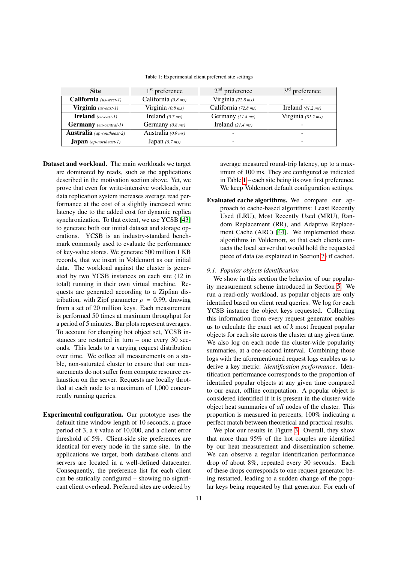Table 1: Experimental client preferred site settings

<span id="page-10-1"></span>

| <b>Site</b>                              | $1st$ preference           | $2nd$ preference             | $3rd$ preference             |
|------------------------------------------|----------------------------|------------------------------|------------------------------|
| <b>California</b> $(us\text{-}west-1)$   | California (0.8 ms)        | Virginia $(72.8 \text{ ms})$ |                              |
| $\overline{\text{Virginia}}$ (us-east-1) | Virginia (0.8 ms)          | California (72.8 ms)         | Ireland $(81.2 \text{ ms})$  |
| <b>Ireland</b> $(eu\text{-}east-1)$      | Ireland $(0.7 \text{ ms})$ | Germany $(21.4 \text{ ms})$  | Virginia $(81.2 \text{ ms})$ |
| <b>Germany</b> (eu-central-1)            | Germany $(0.8 \text{ ms})$ | Ireland $(21.4 \text{ ms})$  |                              |
| <b>Australia</b> (ap-southeast-2)        | Australia (0.9 ms)         |                              | -                            |
| <b>Japan</b> (ap-northeast-1)            | Japan $(0.7 \text{ ms})$   |                              |                              |

- Dataset and workload. The main workloads we target are dominated by reads, such as the applications described in the motivation section above. Yet, we prove that even for write-intensive workloads, our data replication system increases average read performance at the cost of a slightly increased write latency due to the added cost for dynamic replica synchronization. To that extent, we use YCSB [\[43\]](#page-17-20) to generate both our initial dataset and storage operations. YCSB is an industry-standard benchmark commonly used to evaluate the performance of key-value stores. We generate 500 million 1 KB records, that we insert in Voldemort as our initial data. The workload against the cluster is generated by two YCSB instances on each site (12 in total) running in their own virtual machine. Requests are generated according to a Zipfian distribution, with Zipf parameter  $\rho = 0.99$ , drawing from a set of 20 million keys. Each measurement is performed 50 times at maximum throughput for a period of 5 minutes. Bar plots represent averages. To account for changing hot object set, YCSB instances are restarted in turn – one every 30 seconds. This leads to a varying request distribution over time. We collect all measurements on a stable, non-saturated cluster to ensure that our measurements do not suffer from compute resource exhaustion on the server. Requests are locally throttled at each node to a maximum of 1,000 concurrently running queries.
- Experimental configuration. Our prototype uses the default time window length of 10 seconds, a grace period of 3, a *k* value of 10,000, and a client error threshold of 5%. Client-side site preferences are identical for every node in the same site. In the applications we target, both database clients and servers are located in a well-defined datacenter. Consequently, the preference list for each client can be statically configured – showing no significant client overhead. Preferred sites are ordered by

average measured round-trip latency, up to a maximum of 100 ms. They are configured as indicated in Table [1](#page-10-1) – each site being its own first preference. We keep Voldemort default configuration settings.

Evaluated cache algorithms. We compare our approach to cache-based algorithms: Least Recently Used (LRU), Most Recently Used (MRU), Random Replacement (RR), and Adaptive Replacement Cache (ARC) [\[44\]](#page-17-21). We implemented these algorithms in Voldemort, so that each clients contacts the local server that would hold the requested piece of data (as explained in Section [7\)](#page-8-0) if cached.

## <span id="page-10-0"></span>*9.1. Popular objects identification*

We show in this section the behavior of our popularity measurement scheme introduced in Section [5.](#page-4-0) We run a read-only workload, as popular objects are only identified based on client read queries. We log for each YCSB instance the object keys requested. Collecting this information from every request generator enables us to calculate the exact set of *k* most frequent popular objects for each site across the cluster at any given time. We also log on each node the cluster-wide popularity summaries, at a one-second interval. Combining those logs with the aforementioned request logs enables us to derive a key metric: *identification performance*. Identification performance corresponds to the proportion of identified popular objects at any given time compared to our exact, offline computation. A popular object is considered identified if it is present in the cluster-wide object heat summaries of *all* nodes of the cluster. This proportion is measured in percents, 100% indicating a perfect match between theoretical and practical results.

We plot our results in Figure [3.](#page-11-1) Overall, they show that more than 95% of the hot couples are identified by our heat measurement and dissemination scheme. We can observe a regular identification performance drop of about 8%, repeated every 30 seconds. Each of these drops corresponds to one request generator being restarted, leading to a sudden change of the popular keys being requested by that generator. For each of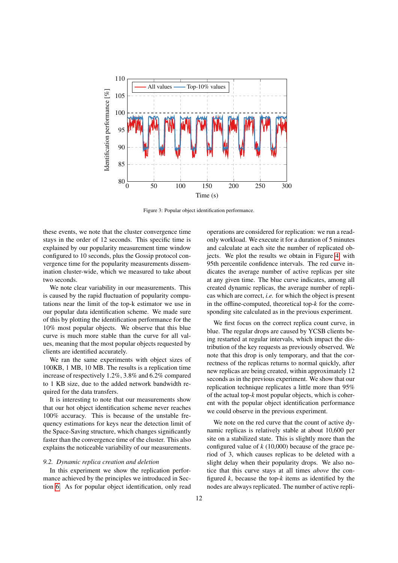<span id="page-11-1"></span>

Figure 3: Popular object identification performance.

these events, we note that the cluster convergence time stays in the order of 12 seconds. This specific time is explained by our popularity measurement time window configured to 10 seconds, plus the Gossip protocol convergence time for the popularity measurements dissemination cluster-wide, which we measured to take about two seconds.

We note clear variability in our measurements. This is caused by the rapid fluctuation of popularity computations near the limit of the top-k estimator we use in our popular data identification scheme. We made sure of this by plotting the identification performance for the 10% most popular objects. We observe that this blue curve is much more stable than the curve for all values, meaning that the most popular objects requested by clients are identified accurately.

We ran the same experiments with object sizes of 100KB, 1 MB, 10 MB. The results is a replication time increase of respectively 1.2%, 3.8% and 6.2% compared to 1 KB size, due to the added network bandwidth required for the data transfers.

It is interesting to note that our measurements show that our hot object identification scheme never reaches 100% accuracy. This is because of the unstable frequency estimations for keys near the detection limit of the Space-Saving structure, which changes significantly faster than the convergence time of the cluster. This also explains the noticeable variability of our measurements.

#### <span id="page-11-0"></span>*9.2. Dynamic replica creation and deletion*

In this experiment we show the replication performance achieved by the principles we introduced in Section [6.](#page-6-0) As for popular object identification, only read

operations are considered for replication: we run a readonly workload. We execute it for a duration of 5 minutes and calculate at each site the number of replicated objects. We plot the results we obtain in Figure [4,](#page-12-2) with 95th percentile confidence intervals. The red curve indicates the average number of active replicas per site at any given time. The blue curve indicates, among all created dynamic replicas, the average number of replicas which are correct, *i.e.* for which the object is present in the offline-computed, theoretical top-*k* for the corresponding site calculated as in the previous experiment.

We first focus on the correct replica count curve, in blue. The regular drops are caused by YCSB clients being restarted at regular intervals, which impact the distribution of the key requests as previously observed. We note that this drop is only temporary, and that the correctness of the replicas returns to normal quickly, after new replicas are being created, within approximately 12 seconds as in the previous experiment. We show that our replication technique replicates a little more than 95% of the actual top-*k* most popular objects, which is coherent with the popular object identification performance we could observe in the previous experiment.

We note on the red curve that the count of active dynamic replicas is relatively stable at about 10,600 per site on a stabilized state. This is slightly more than the configured value of *k* (10,000) because of the grace period of 3, which causes replicas to be deleted with a slight delay when their popularity drops. We also notice that this curve stays at all times *above* the configured *k*, because the top-*k* items as identified by the nodes are always replicated. The number of active repli-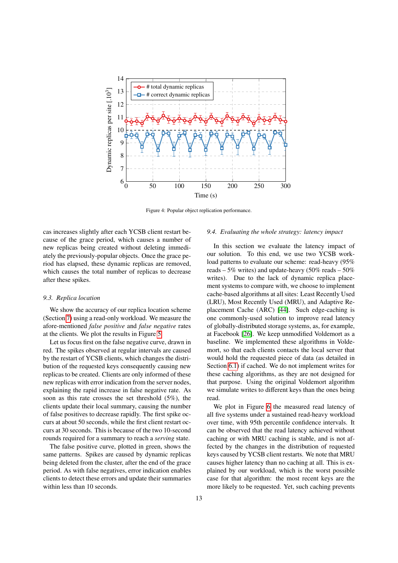<span id="page-12-2"></span>

Figure 4: Popular object replication performance.

cas increases slightly after each YCSB client restart because of the grace period, which causes a number of new replicas being created without deleting immediately the previously-popular objects. Once the grace period has elapsed, these dynamic replicas are removed, which causes the total number of replicas to decrease after these spikes.

#### <span id="page-12-0"></span>*9.3. Replica location*

We show the accuracy of our replica location scheme (Section [7\)](#page-8-0) using a read-only workload. We measure the afore-mentioned *false positive* and *false negative* rates at the clients. We plot the results in Figure [5.](#page-13-2)

Let us focus first on the false negative curve, drawn in red. The spikes observed at regular intervals are caused by the restart of YCSB clients, which changes the distribution of the requested keys consequently causing new replicas to be created. Clients are only informed of these new replicas with error indication from the server nodes, explaining the rapid increase in false negative rate. As soon as this rate crosses the set threshold (5%), the clients update their local summary, causing the number of false positives to decrease rapidly. The first spike occurs at about 50 seconds, while the first client restart occurs at 30 seconds. This is because of the two 10-second rounds required for a summary to reach a *serving* state.

The false positive curve, plotted in green, shows the same patterns. Spikes are caused by dynamic replicas being deleted from the cluster, after the end of the grace period. As with false negatives, error indication enables clients to detect these errors and update their summaries within less than 10 seconds.

#### <span id="page-12-1"></span>*9.4. Evaluating the whole strategy: latency impact*

In this section we evaluate the latency impact of our solution. To this end, we use two YCSB workload patterns to evaluate our scheme: read-heavy (95% reads  $-5\%$  writes) and update-heavy (50% reads  $-50\%$ writes). Due to the lack of dynamic replica placement systems to compare with, we choose to implement cache-based algorithms at all sites: Least Recently Used (LRU), Most Recently Used (MRU), and Adaptive Replacement Cache (ARC) [\[44\]](#page-17-21). Such edge-caching is one commonly-used solution to improve read latency of globally-distributed storage systems, as, for example, at Facebook [\[26\]](#page-17-3). We keep unmodified Voldemort as a baseline. We implemented these algorithms in Voldemort, so that each clients contacts the local server that would hold the requested piece of data (as detailed in Section [6.1\)](#page-6-1) if cached. We do not implement writes for these caching algorithms, as they are not designed for that purpose. Using the original Voldemort algorithm we simulate writes to different keys than the ones being read.

We plot in Figure [6](#page-14-4) the measured read latency of all five systems under a sustained read-heavy workload over time, with 95th percentile confidence intervals. It can be observed that the read latency achieved without caching or with MRU caching is stable, and is not affected by the changes in the distribution of requested keys caused by YCSB client restarts. We note that MRU causes higher latency than no caching at all. This is explained by our workload, which is the worst possible case for that algorithm: the most recent keys are the more likely to be requested. Yet, such caching prevents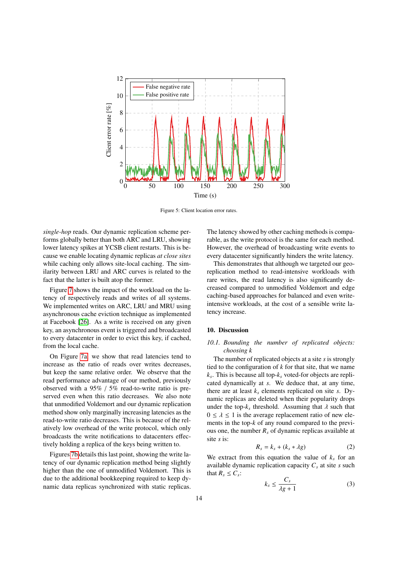<span id="page-13-2"></span>

Figure 5: Client location error rates.

*single-hop* reads. Our dynamic replication scheme performs globally better than both ARC and LRU, showing lower latency spikes at YCSB client restarts. This is because we enable locating dynamic replicas *at close sites* while caching only allows site-local caching. The similarity between LRU and ARC curves is related to the fact that the latter is built atop the former.

Figure [7](#page-15-0) shows the impact of the workload on the latency of respectively reads and writes of all systems. We implemented writes on ARC, LRU and MRU using asynchronous cache eviction technique as implemented at Facebook [\[26\]](#page-17-3). As a write is received on any given key, an asynchronous event is triggered and broadcasted to every datacenter in order to evict this key, if cached, from the local cache.

On Figure [7a,](#page-15-0) we show that read latencies tend to increase as the ratio of reads over writes decreases, but keep the same relative order. We observe that the read performance advantage of our method, previously observed with a 95% / 5% read-to-write ratio is preserved even when this ratio decreases. We also note that unmodified Voldemort and our dynamic replication method show only marginally increasing latencies as the read-to-write ratio decreases. This is because of the relatively low overhead of the write protocol, which only broadcasts the write notifications to datacenters effectively holding a replica of the keys being written to.

Figures [7b](#page-15-0) details this last point, showing the write latency of our dynamic replication method being slightly higher than the one of unmodified Voldemort. This is due to the additional bookkeeping required to keep dynamic data replicas synchronized with static replicas. The latency showed by other caching methods is comparable, as the write protocol is the same for each method. However, the overhead of broadcasting write events to every datacenter significantly hinders the write latency.

This demonstrates that although we targeted our georeplication method to read-intensive workloads with rare writes, the read latency is also significantly decreased compared to unmodified Voldemort and edge caching-based approaches for balanced and even writeintensive workloads, at the cost of a sensible write latency increase.

#### <span id="page-13-0"></span>10. Discussion

# <span id="page-13-1"></span>*10.1. Bounding the number of replicated objects: choosing k*

The number of replicated objects at a site *s* is strongly tied to the configuration of *k* for that site, that we name *ks* . This is because all top-*k<sup>s</sup>* voted-for objects are replicated dynamically at *s*. We deduce that, at any time, there are at least *k<sup>s</sup>* elements replicated on site *s*. Dynamic replicas are deleted when their popularity drops under the top- $k_s$  threshold. Assuming that  $\lambda$  such that  $0 \le \lambda \le 1$  is the average replacement ratio of new ele- $0 \le \lambda \le 1$  is the average replacement ratio of new elements in the top-*k* of any round compared to the previous one, the number  $R_s$  of dynamic replicas available at site *s* is:

$$
R_s = k_s + (k_s * \lambda g) \tag{2}
$$

We extract from this equation the value of  $k<sub>s</sub>$  for an available dynamic replication capacity  $C_s$  at site *s* such that  $R_s \leq C_s$ :

$$
k_s \le \frac{C_s}{\lambda g + 1} \tag{3}
$$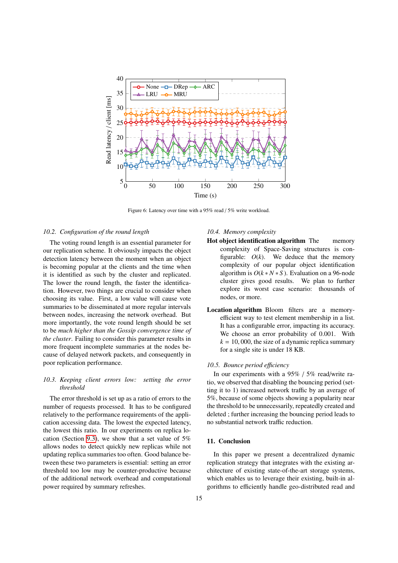<span id="page-14-4"></span>

Figure 6: Latency over time with a 95% read / 5% write workload.

#### <span id="page-14-1"></span>*10.2. Configuration of the round length*

The voting round length is an essential parameter for our replication scheme. It obviously impacts the object detection latency between the moment when an object is becoming popular at the clients and the time when it is identified as such by the cluster and replicated. The lower the round length, the faster the identification. However, two things are crucial to consider when choosing its value. First, a low value will cause vote summaries to be disseminated at more regular intervals between nodes, increasing the network overhead. But more importantly, the vote round length should be set to be *much higher than the Gossip convergence time of the cluster*. Failing to consider this parameter results in more frequent incomplete summaries at the nodes because of delayed network packets, and consequently in poor replication performance.

# <span id="page-14-3"></span>*10.3. Keeping client errors low: setting the error threshold*

The error threshold is set up as a ratio of errors to the number of requests processed. It has to be configured relatively to the performance requirements of the application accessing data. The lowest the expected latency, the lowest this ratio. In our experiments on replica location (Section [9.3\)](#page-12-0), we show that a set value of 5% allows nodes to detect quickly new replicas while not updating replica summaries too often. Good balance between these two parameters is essential: setting an error threshold too low may be counter-productive because of the additional network overhead and computational power required by summary refreshes.

## <span id="page-14-2"></span>*10.4. Memory complexity*

- Hot object identification algorithm The memory complexity of Space-Saving structures is configurable:  $O(k)$ . We deduce that the memory complexity of our popular object identification algorithm is  $O(k*N*S)$ . Evaluation on a 96-node cluster gives good results. We plan to further explore its worst case scenario: thousands of nodes, or more.
- Location algorithm Bloom filters are a memoryefficient way to test element membership in a list. It has a configurable error, impacting its accuracy. We choose an error probability of 0.001. With  $k = 10,000$ , the size of a dynamic replica summary for a single site is under 18 KB.

#### *10.5. Bounce period e*ffi*ciency*

In our experiments with a 95% / 5% read/write ratio, we observed that disabling the bouncing period (setting it to 1) increased network traffic by an average of 5%, because of some objects showing a popularity near the threshold to be unnecessarily, repeatedly created and deleted ; further increasing the bouncing period leads to no substantial network traffic reduction.

#### <span id="page-14-0"></span>11. Conclusion

In this paper we present a decentralized dynamic replication strategy that integrates with the existing architecture of existing state-of-the-art storage systems, which enables us to leverage their existing, built-in algorithms to efficiently handle geo-distributed read and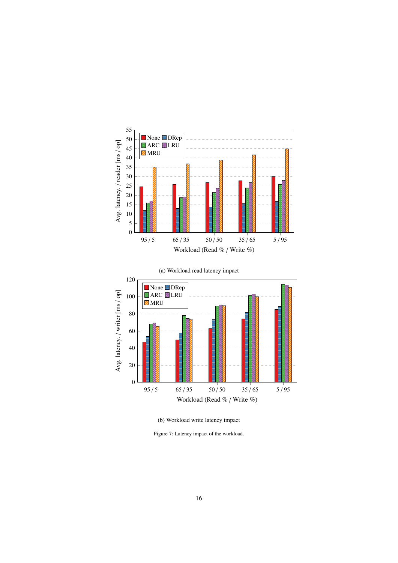<span id="page-15-0"></span>



Figure 7: Latency impact of the workload.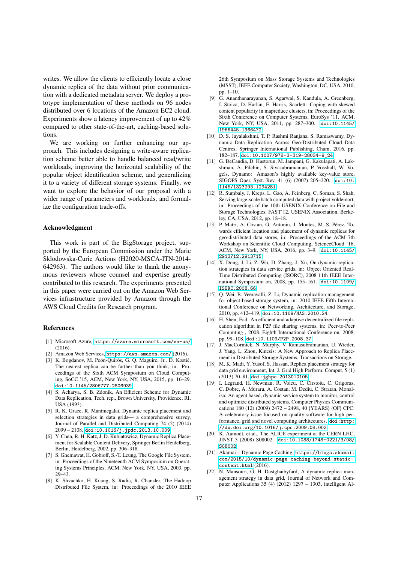writes. We allow the clients to efficiently locate a close dynamic replica of the data without prior communication with a dedicated metadata server. We deploy a prototype implementation of these methods on 96 nodes distributed over 6 locations of the Amazon EC2 cloud. Experiments show a latency improvement of up to 42% compared to other state-of-the-art, caching-based solutions.

We are working on further enhancing our approach. This includes designing a write-aware replication scheme better able to handle balanced read/write workloads, improving the horizontal scalability of the popular object identification scheme, and generalizing it to a variety of different storage systems. Finally, we want to explore the behavior of our proposal with a wider range of parameters and workloads, and formalize the configuration trade-offs.

#### Acknowledgment

This work is part of the BigStorage project, supported by the European Commission under the Marie Skłodowska-Curie Actions (H2020-MSCA-ITN-2014- 642963). The authors would like to thank the anonymous reviewers whose counsel and expertise greatly contributed to this research. The experiments presented in this paper were carried out on the Amazon Web Services infrastructure provided by Amazon through the AWS Cloud Credits for Research program.

#### References

- <span id="page-16-0"></span>[1] Microsoft Azure, <https://azure.microsoft.com/en-us/> (2016).
- <span id="page-16-1"></span>[2] Amazon Web Services, <https://aws.amazon.com/> (2016).
- <span id="page-16-2"></span>[3] K. Bogdanov, M. Peón-Quirós, G. Q. Maguire, Jr., D. Kostić, The nearest replica can be farther than you think, in: Proceedings of the Sixth ACM Symposium on Cloud Computing, SoCC '15, ACM, New York, NY, USA, 2015, pp. 16–29. [doi:10.1145/2806777.2806939](http://dx.doi.org/10.1145/2806777.2806939).
- <span id="page-16-3"></span>[4] S. Acharya, S. B. Zdonik, An Efficient Scheme for Dynamic Data Replication, Tech. rep., Brown University, Providence, RI, USA (1993).
- <span id="page-16-4"></span>[5] R. K. Grace, R. Manimegalai, Dynamic replica placement and selection strategies in data grids— a comprehensive survey, Journal of Parallel and Distributed Computing 74 (2) (2014) 2099 – 2108. [doi:10.1016/j.jpdc.2013.10.009](http://dx.doi.org/10.1016/j.jpdc.2013.10.009).
- <span id="page-16-5"></span>[6] Y. Chen, R. H. Katz, J. D. Kubiatowicz, Dynamic Replica Placement for Scalable Content Delivery, Springer Berlin Heidelberg, Berlin, Heidelberg, 2002, pp. 306–318.
- <span id="page-16-6"></span>[7] S. Ghemawat, H. Gobioff, S.-T. Leung, The Google File System, in: Proceedings of the Nineteenth ACM Symposium on Operating Systems Principles, ACM, New York, NY, USA, 2003, pp. 29–43.
- <span id="page-16-7"></span>[8] K. Shvachko, H. Kuang, S. Radia, R. Chansler, The Hadoop Distributed File System, in: Proceedings of the 2010 IEEE

26th Symposium on Mass Storage Systems and Technologies (MSST), IEEE Computer Society, Washington, DC, USA, 2010, pp. 1–10.

- <span id="page-16-8"></span>[9] G. Ananthanarayanan, S. Agarwal, S. Kandula, A. Greenberg, I. Stoica, D. Harlan, E. Harris, Scarlett: Coping with skewed content popularity in mapreduce clusters, in: Proceedings of the Sixth Conference on Computer Systems, EuroSys '11, ACM, New York, NY, USA, 2011, pp. 287–300. [doi:10.1145/](http://dx.doi.org/10.1145/1966445.1966472) [1966445.1966472](http://dx.doi.org/10.1145/1966445.1966472).
- <span id="page-16-9"></span>[10] D. S. Jayalakshmi, T. P. Rashmi Ranjana, S. Ramaswamy, Dynamic Data Replication Across Geo-Distributed Cloud Data Centres, Springer International Publishing, Cham, 2016, pp. 182–187. [doi:10.1007/978-3-319-28034-9\\_24](http://dx.doi.org/10.1007/978-3-319-28034-9_24).
- <span id="page-16-10"></span>[11] G. DeCandia, D. Hastorun, M. Jampani, G. Kakulapati, A. Lakshman, A. Pilchin, S. Sivasubramanian, P. Vosshall, W. Vogels, Dynamo: Amazon's highly available key-value store, SIGOPS Oper. Syst. Rev. 41 (6) (2007) 205–220. [doi:10.](http://dx.doi.org/10.1145/1323293.1294281) [1145/1323293.1294281](http://dx.doi.org/10.1145/1323293.1294281).
- <span id="page-16-11"></span>[12] R. Sumbaly, J. Kreps, L. Gao, A. Feinberg, C. Soman, S. Shah, Serving large-scale batch computed data with project voldemort, in: Proceedings of the 10th USENIX Conference on File and Storage Technologies, FAST'12, USENIX Association, Berkeley, CA, USA, 2012, pp. 18–18.
- <span id="page-16-12"></span>[13] P. Matri, A. Costan, G. Antoniu, J. Montes, M. S. Pérez, Towards efficient location and placement of dynamic replicas for geo-distributed data stores, in: Proceedings of the ACM 7th Workshop on Scientific Cloud Computing, ScienceCloud '16, ACM, New York, NY, USA, 2016, pp. 3–9. [doi:10.1145/](http://dx.doi.org/10.1145/2913712.2913715) [2913712.2913715](http://dx.doi.org/10.1145/2913712.2913715).
- <span id="page-16-13"></span>[14] X. Dong, J. Li, Z. Wu, D. Zhang, J. Xu, On dynamic replication strategies in data service grids, in: Object Oriented Real-Time Distributed Computing (ISORC), 2008 11th IEEE International Symposium on, 2008, pp. 155–161. [doi:10.1109/](http://dx.doi.org/10.1109/ISORC.2008.66) [ISORC.2008.66](http://dx.doi.org/10.1109/ISORC.2008.66).
- <span id="page-16-14"></span>[15] Q. Wei, B. Veeravalli, Z. Li, Dynamic replication management for object-based storage system, in: 2010 IEEE Fifth International Conference on Networking, Architecture, and Storage, 2010, pp. 412–419. [doi:10.1109/NAS.2010.24](http://dx.doi.org/10.1109/NAS.2010.24).
- <span id="page-16-15"></span>[16] H. Shen, Ead: An efficient and adaptive decentralized file replication algorithm in P2P file sharing systems, in: Peer-to-Peer Computing , 2008. Eighth International Conference on, 2008, pp. 99–108. [doi:10.1109/P2P.2008.37](http://dx.doi.org/10.1109/P2P.2008.37).
- <span id="page-16-16"></span>[17] J. MacCormick, N. Murphy, V. Ramasubramanian, U. Wieder, J. Yang, L. Zhou, Kinesis: A New Approach to Replica Placement in Distributed Storage Systems, Transactions on Storage.
- <span id="page-16-17"></span>[18] M. K. Madi, Y. Yusof, S. Hassan, Replica placement strategy for data grid environment, Int. J. Grid High Perform. Comput. 5 (1) (2013) 70–81. [doi:jghpc.2013010105](http://dx.doi.org/jghpc.2013010105).
- <span id="page-16-18"></span>[19] I. Legrand, H. Newman, R. Voicu, C. Cirstoiu, C. Grigoras, C. Dobre, A. Muraru, A. Costan, M. Dediu, C. Stratan, Monalisa: An agent based, dynamic service system to monitor, control and optimize distributed systems, Computer Physics Communications 180 (12) (2009) 2472 – 2498, 40 {YEARS} {OF} CPC: A celebratory issue focused on quality software for high performance, grid and novel computing architectures. [doi:http:](http://dx.doi.org/http://dx.doi.org/10.1016/j.cpc.2009.08.003) [//dx.doi.org/10.1016/j.cpc.2009.08.003](http://dx.doi.org/http://dx.doi.org/10.1016/j.cpc.2009.08.003).
- <span id="page-16-19"></span>[20] K. Aamodt, et al., The ALICE experiment at the CERN LHC, JINST 3 (2008) S08002. [doi:10.1088/1748-0221/3/08/](http://dx.doi.org/10.1088/1748-0221/3/08/S08002) [S08002](http://dx.doi.org/10.1088/1748-0221/3/08/S08002).
- <span id="page-16-20"></span>[21] Akamai – Dynamic Page Caching, [https://blogs.akamai.](https://blogs.akamai.com/2015/10/dynamic-page-caching-beyond-static-content.html) [com/2015/10/dynamic-page-caching-beyond-static](https://blogs.akamai.com/2015/10/dynamic-page-caching-beyond-static-content.html)[content.html](https://blogs.akamai.com/2015/10/dynamic-page-caching-beyond-static-content.html) (2016).
- <span id="page-16-21"></span>[22] N. Mansouri, G. H. Dastghaibyfard, A dynamic replica management strategy in data grid, Journal of Network and Computer Applications 35 (4) (2012) 1297 – 1303, intelligent Al-